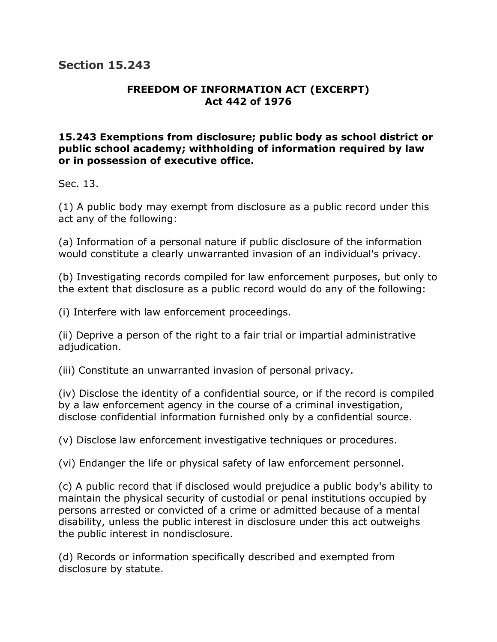## **Section 15.243**

## **FREEDOM OF INFORMATION ACT (EXCERPT) Act 442 of 1976**

## **15.243 Exemptions from disclosure; public body as school district or public school academy; withholding of information required by law or in possession of executive office.**

Sec. 13.

(1) A public body may exempt from disclosure as a public record under this act any of the following:

(a) Information of a personal nature if public disclosure of the information would constitute a clearly unwarranted invasion of an individual's privacy.

(b) Investigating records compiled for law enforcement purposes, but only to the extent that disclosure as a public record would do any of the following:

(i) Interfere with law enforcement proceedings.

(ii) Deprive a person of the right to a fair trial or impartial administrative adjudication.

(iii) Constitute an unwarranted invasion of personal privacy.

(iv) Disclose the identity of a confidential source, or if the record is compiled by a law enforcement agency in the course of a criminal investigation, disclose confidential information furnished only by a confidential source.

(v) Disclose law enforcement investigative techniques or procedures.

(vi) Endanger the life or physical safety of law enforcement personnel.

(c) A public record that if disclosed would prejudice a public body's ability to maintain the physical security of custodial or penal institutions occupied by persons arrested or convicted of a crime or admitted because of a mental disability, unless the public interest in disclosure under this act outweighs the public interest in nondisclosure.

(d) Records or information specifically described and exempted from disclosure by statute.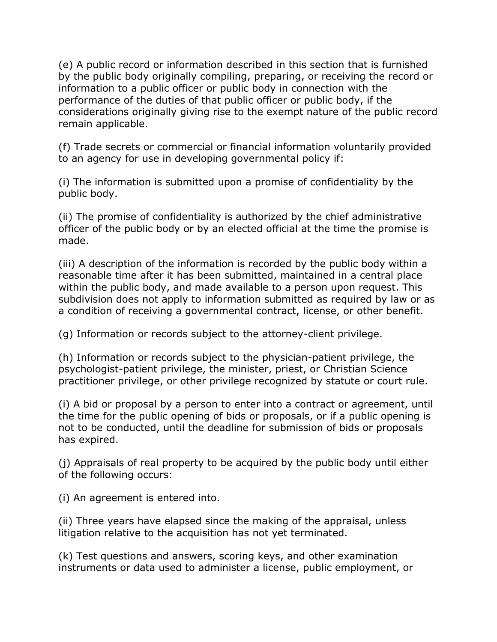(e) A public record or information described in this section that is furnished by the public body originally compiling, preparing, or receiving the record or information to a public officer or public body in connection with the performance of the duties of that public officer or public body, if the considerations originally giving rise to the exempt nature of the public record remain applicable.

(f) Trade secrets or commercial or financial information voluntarily provided to an agency for use in developing governmental policy if:

(i) The information is submitted upon a promise of confidentiality by the public body.

(ii) The promise of confidentiality is authorized by the chief administrative officer of the public body or by an elected official at the time the promise is made.

(iii) A description of the information is recorded by the public body within a reasonable time after it has been submitted, maintained in a central place within the public body, and made available to a person upon request. This subdivision does not apply to information submitted as required by law or as a condition of receiving a governmental contract, license, or other benefit.

(g) Information or records subject to the attorney-client privilege.

(h) Information or records subject to the physician-patient privilege, the psychologist-patient privilege, the minister, priest, or Christian Science practitioner privilege, or other privilege recognized by statute or court rule.

(i) A bid or proposal by a person to enter into a contract or agreement, until the time for the public opening of bids or proposals, or if a public opening is not to be conducted, until the deadline for submission of bids or proposals has expired.

(j) Appraisals of real property to be acquired by the public body until either of the following occurs:

(i) An agreement is entered into.

(ii) Three years have elapsed since the making of the appraisal, unless litigation relative to the acquisition has not yet terminated.

(k) Test questions and answers, scoring keys, and other examination instruments or data used to administer a license, public employment, or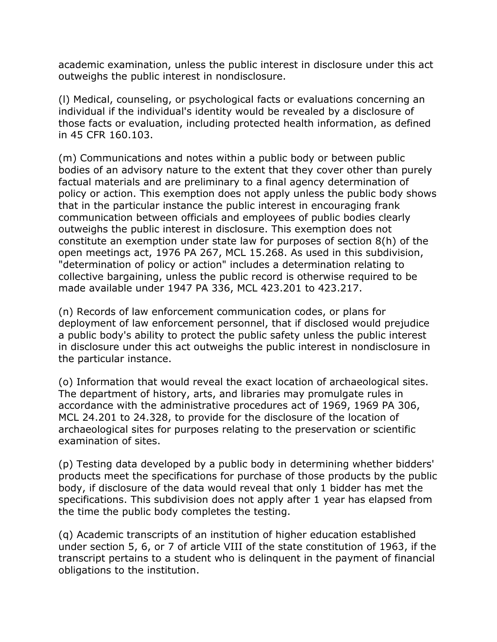academic examination, unless the public interest in disclosure under this act outweighs the public interest in nondisclosure.

(l) Medical, counseling, or psychological facts or evaluations concerning an individual if the individual's identity would be revealed by a disclosure of those facts or evaluation, including protected health information, as defined in 45 CFR 160.103.

(m) Communications and notes within a public body or between public bodies of an advisory nature to the extent that they cover other than purely factual materials and are preliminary to a final agency determination of policy or action. This exemption does not apply unless the public body shows that in the particular instance the public interest in encouraging frank communication between officials and employees of public bodies clearly outweighs the public interest in disclosure. This exemption does not constitute an exemption under state law for purposes of section 8(h) of the open meetings act, 1976 PA 267, MCL 15.268. As used in this subdivision, "determination of policy or action" includes a determination relating to collective bargaining, unless the public record is otherwise required to be made available under 1947 PA 336, MCL 423.201 to 423.217.

(n) Records of law enforcement communication codes, or plans for deployment of law enforcement personnel, that if disclosed would prejudice a public body's ability to protect the public safety unless the public interest in disclosure under this act outweighs the public interest in nondisclosure in the particular instance.

(o) Information that would reveal the exact location of archaeological sites. The department of history, arts, and libraries may promulgate rules in accordance with the administrative procedures act of 1969, 1969 PA 306, MCL 24.201 to 24.328, to provide for the disclosure of the location of archaeological sites for purposes relating to the preservation or scientific examination of sites.

(p) Testing data developed by a public body in determining whether bidders' products meet the specifications for purchase of those products by the public body, if disclosure of the data would reveal that only 1 bidder has met the specifications. This subdivision does not apply after 1 year has elapsed from the time the public body completes the testing.

(q) Academic transcripts of an institution of higher education established under section 5, 6, or 7 of article VIII of the state constitution of 1963, if the transcript pertains to a student who is delinquent in the payment of financial obligations to the institution.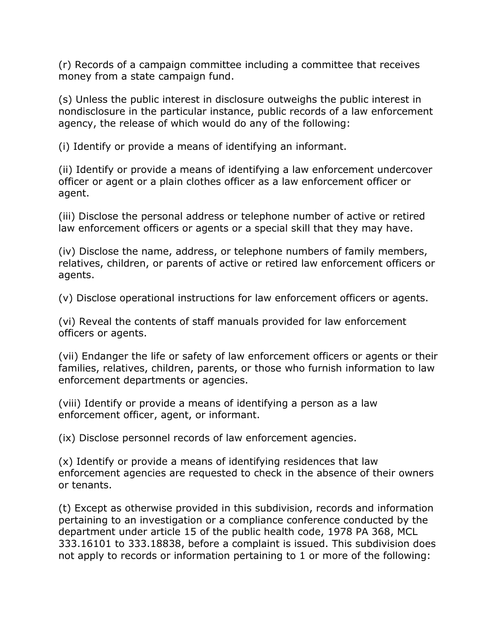(r) Records of a campaign committee including a committee that receives money from a state campaign fund.

(s) Unless the public interest in disclosure outweighs the public interest in nondisclosure in the particular instance, public records of a law enforcement agency, the release of which would do any of the following:

(i) Identify or provide a means of identifying an informant.

(ii) Identify or provide a means of identifying a law enforcement undercover officer or agent or a plain clothes officer as a law enforcement officer or agent.

(iii) Disclose the personal address or telephone number of active or retired law enforcement officers or agents or a special skill that they may have.

(iv) Disclose the name, address, or telephone numbers of family members, relatives, children, or parents of active or retired law enforcement officers or agents.

(v) Disclose operational instructions for law enforcement officers or agents.

(vi) Reveal the contents of staff manuals provided for law enforcement officers or agents.

(vii) Endanger the life or safety of law enforcement officers or agents or their families, relatives, children, parents, or those who furnish information to law enforcement departments or agencies.

(viii) Identify or provide a means of identifying a person as a law enforcement officer, agent, or informant.

(ix) Disclose personnel records of law enforcement agencies.

(x) Identify or provide a means of identifying residences that law enforcement agencies are requested to check in the absence of their owners or tenants.

(t) Except as otherwise provided in this subdivision, records and information pertaining to an investigation or a compliance conference conducted by the department under article 15 of the public health code, 1978 PA 368, MCL 333.16101 to 333.18838, before a complaint is issued. This subdivision does not apply to records or information pertaining to 1 or more of the following: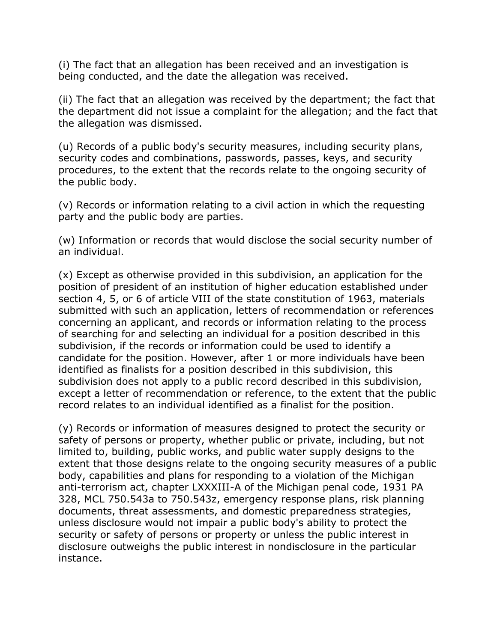(i) The fact that an allegation has been received and an investigation is being conducted, and the date the allegation was received.

(ii) The fact that an allegation was received by the department; the fact that the department did not issue a complaint for the allegation; and the fact that the allegation was dismissed.

(u) Records of a public body's security measures, including security plans, security codes and combinations, passwords, passes, keys, and security procedures, to the extent that the records relate to the ongoing security of the public body.

(v) Records or information relating to a civil action in which the requesting party and the public body are parties.

(w) Information or records that would disclose the social security number of an individual.

(x) Except as otherwise provided in this subdivision, an application for the position of president of an institution of higher education established under section 4, 5, or 6 of article VIII of the state constitution of 1963, materials submitted with such an application, letters of recommendation or references concerning an applicant, and records or information relating to the process of searching for and selecting an individual for a position described in this subdivision, if the records or information could be used to identify a candidate for the position. However, after 1 or more individuals have been identified as finalists for a position described in this subdivision, this subdivision does not apply to a public record described in this subdivision, except a letter of recommendation or reference, to the extent that the public record relates to an individual identified as a finalist for the position.

(y) Records or information of measures designed to protect the security or safety of persons or property, whether public or private, including, but not limited to, building, public works, and public water supply designs to the extent that those designs relate to the ongoing security measures of a public body, capabilities and plans for responding to a violation of the Michigan anti-terrorism act, chapter LXXXIII-A of the Michigan penal code, 1931 PA 328, MCL 750.543a to 750.543z, emergency response plans, risk planning documents, threat assessments, and domestic preparedness strategies, unless disclosure would not impair a public body's ability to protect the security or safety of persons or property or unless the public interest in disclosure outweighs the public interest in nondisclosure in the particular instance.